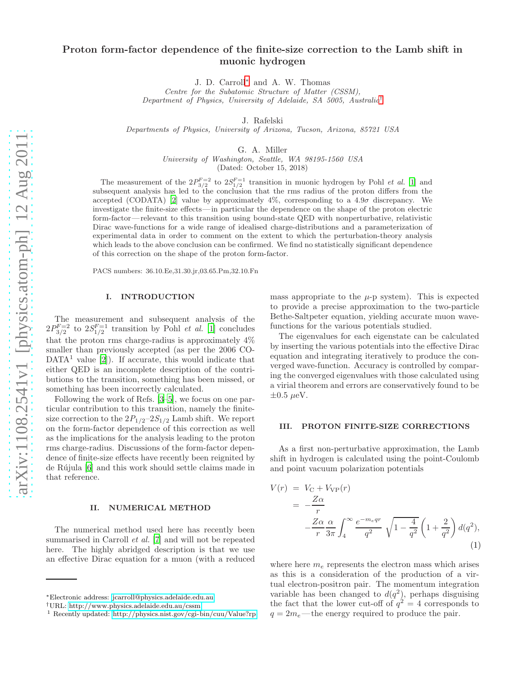# Proton form-factor dependence of the finite-size correction to the Lamb shift in muonic hydrogen

J. D. Carroll[∗](#page-0-0) and A. W. Thomas

Centre for the Subatomic Structure of Matter (CSSM), Department of Physics, University of Adelaide, SA 5005, Australia[†](#page-0-1)

J. Rafelski

Departments of Physics, University of Arizona, Tucson, Arizona, 85721 USA

G. A. Miller

University of Washington, Seattle, WA 98195-1560 USA (Dated: October 15, 2018)

The measurement of the  $2P_{3/2}^{F=2}$  to  $2S_{1/2}^{F=1}$  transition in muonic hydrogen by Pohl *et al.* [\[1](#page-4-0)] and subsequent analysis has led to the conclusion that the rms radius of the proton differs from the accepted (CODATA) [\[2](#page-4-1)] value by approximately  $4\%$ , corresponding to a  $4.9\sigma$  discrepancy. We investigate the finite-size effects—in particular the dependence on the shape of the proton electric form-factor— relevant to this transition using bound-state QED with nonperturbative, relativistic Dirac wave-functions for a wide range of idealised charge-distributions and a parameterization of experimental data in order to comment on the extent to which the perturbation-theory analysis which leads to the above conclusion can be confirmed. We find no statistically significant dependence of this correction on the shape of the proton form-factor.

PACS numbers: 36.10.Ee,31.30.jr,03.65.Pm,32.10.Fn

# I. INTRODUCTION

The measurement and subsequent analysis of the  $2P_{3/2}^{F=2}$  to  $2S_{1/2}^{F=1}$  transition by Pohl *et al.* [\[1\]](#page-4-0) concludes that the proton rms charge-radius is approximately 4% smaller than previously accepted (as per the 2006 CO- $DATA<sup>1</sup>$  value  $[2]$ ). If accurate, this would indicate that either QED is an incomplete description of the contributions to the transition, something has been missed, or something has been incorrectly calculated.

Following the work of Refs. [\[3](#page-4-2)[–5](#page-4-3)], we focus on one particular contribution to this transition, namely the finitesize correction to the  $2P_{1/2}$ -2 $S_{1/2}$  Lamb shift. We report on the form-factor dependence of this correction as well as the implications for the analysis leading to the proton rms charge-radius. Discussions of the form-factor dependence of finite-size effects have recently been reignited by de Rújula [\[6](#page-4-4)] and this work should settle claims made in that reference.

## II. NUMERICAL METHOD

The numerical method used here has recently been summarised in Carroll et al. [\[7\]](#page-4-5) and will not be repeated here. The highly abridged description is that we use an effective Dirac equation for a muon (with a reduced mass appropriate to the  $\mu$ -p system). This is expected to provide a precise approximation to the two-particle Bethe-Saltpeter equation, yielding accurate muon wavefunctions for the various potentials studied.

The eigenvalues for each eigenstate can be calculated by inserting the various potentials into the effective Dirac equation and integrating iteratively to produce the converged wave-function. Accuracy is controlled by comparing the converged eigenvalues with those calculated using a virial theorem and errors are conservatively found to be  $\pm 0.5 \ \mu\text{eV}$ .

#### III. PROTON FINITE-SIZE CORRECTIONS

As a first non-perturbative approximation, the Lamb shift in hydrogen is calculated using the point-Coulomb and point vacuum polarization potentials

$$
V(r) = V_C + V_{VP}(r)
$$
  
= 
$$
-\frac{Z\alpha}{r}
$$
  

$$
-\frac{Z\alpha}{r}\frac{\alpha}{3\pi} \int_4^\infty \frac{e^{-m_eqr}}{q^2} \sqrt{1 - \frac{4}{q^2}} \left(1 + \frac{2}{q^2}\right) d(q^2),
$$
  
(1)

where here  $m_e$  represents the electron mass which arises as this is a consideration of the production of a virtual electron-positron pair. The momentum integration variable has been changed to  $d(q^2)$ , perhaps disguising the fact that the lower cut-off of  $q^2 = 4$  corresponds to  $q = 2m_e$ —the energy required to produce the pair.

<span id="page-0-0"></span><sup>∗</sup>Electronic address: [jcarroll@physics.adelaide.edu.au](mailto:jcarroll@physics.adelaide.edu.au)

<span id="page-0-1"></span><sup>†</sup>URL:<http://www.physics.adelaide.edu.au/cssm>

<sup>1</sup> Recently updated:<http://physics.nist.gov/cgi-bin/cuu/Value?rp>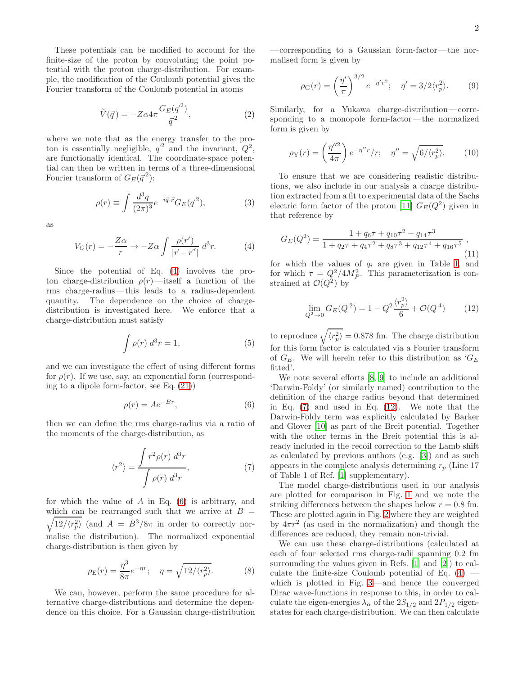These potentials can be modified to account for the finite-size of the proton by convoluting the point potential with the proton charge-distribution. For example, the modification of the Coulomb potential gives the Fourier transform of the Coulomb potential in atoms

$$
\widetilde{V}(\vec{q}) = -Z\alpha 4\pi \frac{G_E(\vec{q}^2)}{\vec{q}^2},\tag{2}
$$

where we note that as the energy transfer to the proton is essentially negligible,  $\vec{q}^2$  and the invariant,  $Q^2$ , are functionally identical. The coordinate-space potential can then be written in terms of a three-dimensional Fourier transform of  $G_E(\vec{q}^2)$ :

$$
\rho(r) \equiv \int \frac{d^3q}{(2\pi)^3} e^{-i\vec{q}\cdot\vec{r}} G_E(\vec{q}^2),\tag{3}
$$

as

<span id="page-1-0"></span>
$$
V_C(r) = -\frac{Z\alpha}{r} \to -Z\alpha \int \frac{\rho(r')}{|\vec{r} - \vec{r}'|} d^3r.
$$
 (4)

Since the potential of Eq. [\(4\)](#page-1-0) involves the proton charge-distribution  $\rho(r)$ —itself a function of the rms charge-radius—this leads to a radius-dependent quantity. The dependence on the choice of chargedistribution is investigated here. We enforce that a charge-distribution must satisfy

<span id="page-1-4"></span>
$$
\int \rho(r) d^3r = 1,
$$
\n(5)

and we can investigate the effect of using different forms for  $\rho(r)$ . If we use, say, an exponential form (corresponding to a dipole form-factor, see Eq. [\(21\)](#page-3-0))

<span id="page-1-1"></span>
$$
\rho(r) = Ae^{-Br},\tag{6}
$$

then we can define the rms charge-radius via a ratio of the moments of the charge-distribution, as

<span id="page-1-2"></span>
$$
\langle r^2 \rangle = \frac{\int r^2 \rho(r) d^3r}{\int \rho(r) d^3r},\tag{7}
$$

for which the value of  $A$  in Eq.  $(6)$  is arbitrary, and  $\sqrt{12/\langle r_p^2\rangle}$  (and  $A = B^3/8\pi$  in order to correctly norwhich can be rearranged such that we arrive at  $B =$ malise the distribution). The normalized exponential charge-distribution is then given by

$$
\rho_{\mathcal{E}}(r) = \frac{\eta^3}{8\pi} e^{-\eta r}; \quad \eta = \sqrt{12/\langle r_p^2 \rangle}.
$$
 (8)

We can, however, perform the same procedure for alternative charge-distributions and determine the dependence on this choice. For a Gaussian charge-distribution —corresponding to a Gaussian form-factor—the normalised form is given by

$$
\rho_{\mathcal{G}}(r) = \left(\frac{\eta'}{\pi}\right)^{3/2} e^{-\eta' r^2}; \quad \eta' = 3/2 \langle r_p^2 \rangle. \tag{9}
$$

Similarly, for a Yukawa charge-distribution—corresponding to a monopole form-factor—the normalized form is given by

$$
\rho_Y(r) = \left(\frac{\eta''^2}{4\pi}\right) e^{-\eta''r}/r; \quad \eta'' = \sqrt{6/\langle r_p^2 \rangle}. \tag{10}
$$

To ensure that we are considering realistic distributions, we also include in our analysis a charge distribution extracted from a fit to experimental data of the Sachs electric form factor of the proton [\[11\]](#page-4-6)  $G_E(Q^2)$  given in that reference by

$$
G_E(Q^2) = \frac{1 + q_6 \tau + q_{10} \tau^2 + q_{14} \tau^3}{1 + q_2 \tau + q_4 \tau^2 + q_8 \tau^3 + q_{12} \tau^4 + q_{16} \tau^5},
$$
\n(11)

for which the values of  $q_i$  are given in Table [I,](#page-2-0) and for which  $\tau = Q^2/4M_P^2$ . This parameterization is constrained at  $\mathcal{O}(Q^2)$  by

<span id="page-1-3"></span>
$$
\lim_{Q^2 \to 0} G_E(Q^2) = 1 - Q^2 \frac{\langle r_p^2 \rangle}{6} + \mathcal{O}(Q^4)
$$
 (12)

to reproduce  $\sqrt{\langle r_p^2 \rangle} = 0.878$  fm. The charge distribution for this form factor is calculated via a Fourier transform of  $G_E$ . We will herein refer to this distribution as  $G_E$ fitted'.

We note several efforts [\[8,](#page-4-7) [9](#page-4-8)] to include an additional 'Darwin-Foldy' (or similarly named) contribution to the definition of the charge radius beyond that determined in Eq. [\(7\)](#page-1-2) and used in Eq. [\(12\)](#page-1-3). We note that the Darwin-Foldy term was explicitly calculated by Barker and Glover [\[10\]](#page-4-9) as part of the Breit potential. Together with the other terms in the Breit potential this is already included in the recoil correction to the Lamb shift as calculated by previous authors (e.g. [\[3](#page-4-2)]) and as such appears in the complete analysis determining  $r_p$  (Line 17) of Table 1 of Ref. [\[1](#page-4-0)] supplementary).

The model charge-distributions used in our analysis are plotted for comparison in Fig. [1](#page-2-1) and we note the striking differences between the shapes below  $r = 0.8$  fm. These are plotted again in Fig. [2](#page-2-2) where they are weighted by  $4\pi r^2$  (as used in the normalization) and though the differences are reduced, they remain non-trivial.

We can use these charge-distributions (calculated at each of four selected rms charge-radii spanning 0.2 fm surrounding the values given in Refs. [\[1\]](#page-4-0) and [\[2](#page-4-1)]) to calculate the finite-size Coulomb potential of Eq.  $(4)$  which is plotted in Fig. [3—](#page-3-1)and hence the converged Dirac wave-functions in response to this, in order to calculate the eigen-energies  $\lambda_{\alpha}$  of the  $2S_{1/2}$  and  $2P_{1/2}$  eigenstates for each charge-distribution. We can then calculate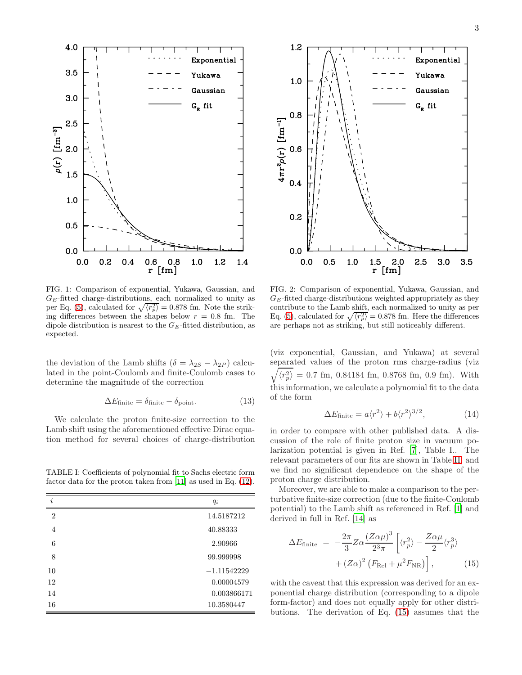

3



<span id="page-2-1"></span>FIG. 1: Comparison of exponential, Yukawa, Gaussian, and  $G_E$ -fitted charge-distributions, each normalized to unity as per Eq. [\(5\)](#page-1-4), calculated for  $\sqrt{\langle r_p^2 \rangle} = 0.878$  fm. Note the striking differences between the shapes below  $r = 0.8$  fm. The dipole distribution is nearest to the  $G_E$ -fitted distribution, as expected.

the deviation of the Lamb shifts ( $\delta = \lambda_{2S} - \lambda_{2P}$ ) calculated in the point-Coulomb and finite-Coulomb cases to determine the magnitude of the correction

$$
\Delta E_{\text{finite}} = \delta_{\text{finite}} - \delta_{\text{point}}.\tag{13}
$$

We calculate the proton finite-size correction to the Lamb shift using the aforementioned effective Dirac equation method for several choices of charge-distribution

<span id="page-2-0"></span>TABLE I: Coefficients of polynomial fit to Sachs electric form factor data for the proton taken from [\[11\]](#page-4-6) as used in Eq. [\(12\)](#page-1-3).

| i              | $q_i$         |
|----------------|---------------|
| $\overline{2}$ | 14.5187212    |
| $\overline{4}$ | 40.88333      |
| 6              | 2.90966       |
| 8              | 99.999998     |
| 10             | $-1.11542229$ |
| 12             | 0.00004579    |
| 14             | 0.003866171   |
| 16             | 10.3580447    |



<span id="page-2-2"></span>FIG. 2: Comparison of exponential, Yukawa, Gaussian, and  $G_E$ -fitted charge-distributions weighted appropriately as they contribute to the Lamb shift, each normalized to unity as per Eq. [\(5\)](#page-1-4), calculated for  $\sqrt{\langle r_p^2 \rangle} = 0.878$  fm. Here the differences are perhaps not as striking, but still noticeably different.

(viz exponential, Gaussian, and Yukawa) at several separated values of the proton rms charge-radius (viz  $\sqrt{\langle r_p^2 \rangle} = 0.7$  fm, 0.84184 fm, 0.8768 fm, 0.9 fm). With this information, we calculate a polynomial fit to the data of the form

<span id="page-2-4"></span>
$$
\Delta E_{\text{finite}} = a \langle r^2 \rangle + b \langle r^2 \rangle^{3/2},\tag{14}
$$

in order to compare with other published data. A discussion of the role of finite proton size in vacuum polarization potential is given in Ref. [\[7\]](#page-4-5), Table I.. The relevant parameters of our fits are shown in Table [II,](#page-3-2) and we find no significant dependence on the shape of the proton charge distribution.

Moreover, we are able to make a comparison to the perturbative finite-size correction (due to the finite-Coulomb potential) to the Lamb shift as referenced in Ref. [\[1](#page-4-0)] and derived in full in Ref. [\[14](#page-4-10)] as

<span id="page-2-3"></span>
$$
\Delta E_{\text{finite}} = -\frac{2\pi}{3} Z \alpha \frac{(Z\alpha\mu)^3}{2^3 \pi} \left[ \langle r_p^2 \rangle - \frac{Z\alpha\mu}{2} \langle r_p^3 \rangle \right. \\
\left. + (Z\alpha)^2 \left( F_{\text{Rel}} + \mu^2 F_{\text{NR}} \right) \right], \tag{15}
$$

with the caveat that this expression was derived for an exponential charge distribution (corresponding to a dipole form-factor) and does not equally apply for other distributions. The derivation of Eq. [\(15\)](#page-2-3) assumes that the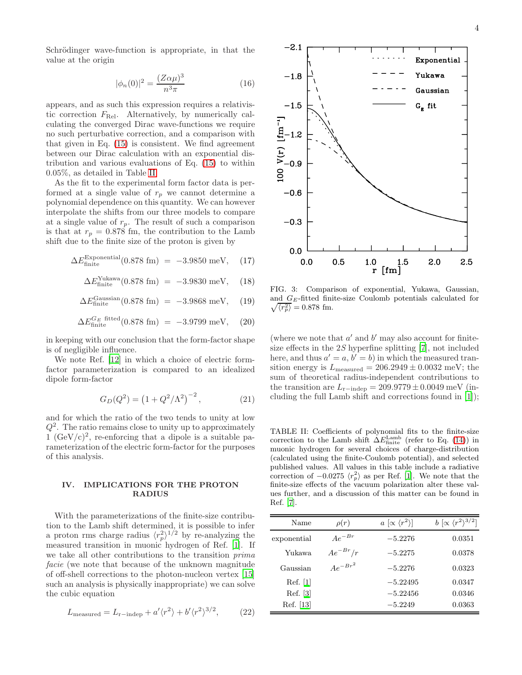Schrödinger wave-function is appropriate, in that the value at the origin

$$
|\phi_n(0)|^2 = \frac{(Z\alpha\mu)^3}{n^3\pi} \tag{16}
$$

appears, and as such this expression requires a relativistic correction  $F_{\text{Rel}}$ . Alternatively, by numerically calculating the converged Dirac wave-functions we require no such perturbative correction, and a comparison with that given in Eq. [\(15\)](#page-2-3) is consistent. We find agreement between our Dirac calculation with an exponential distribution and various evaluations of Eq. [\(15\)](#page-2-3) to within 0.05%, as detailed in Table [II.](#page-3-2)

As the fit to the experimental form factor data is performed at a single value of  $r_p$  we cannot determine a polynomial dependence on this quantity. We can however interpolate the shifts from our three models to compare at a single value of  $r_p$ . The result of such a comparison is that at  $r_p = 0.878$  fm, the contribution to the Lamb shift due to the finite size of the proton is given by

<span id="page-3-4"></span>
$$
\Delta E_{\text{finite}}^{\text{Exponential}}(0.878 \text{ fm}) = -3.9850 \text{ meV}, \quad (17)
$$

$$
\Delta E_{\text{finite}}^{\text{Yukawa}}(0.878 \text{ fm}) = -3.9830 \text{ meV}, \quad (18)
$$

$$
\Delta E_{\text{finite}}^{\text{Gaussian}}(0.878 \text{ fm}) = -3.9868 \text{ meV}, \quad (19)
$$

$$
\Delta E_{\text{finite}}^{G_E \text{ fitted}}(0.878 \text{ fm}) = -3.9799 \text{ meV}, \quad (20)
$$

in keeping with our conclusion that the form-factor shape is of negligible influence.

We note Ref. [\[12\]](#page-4-11) in which a choice of electric formfactor parameterization is compared to an idealized dipole form-factor

<span id="page-3-0"></span>
$$
G_D(Q^2) = \left(1 + Q^2/\Lambda^2\right)^{-2},\tag{21}
$$

and for which the ratio of the two tends to unity at low  $Q^2$ . The ratio remains close to unity up to approximately 1  $(GeV/c)^2$ , re-enforcing that a dipole is a suitable parameterization of the electric form-factor for the purposes of this analysis.

# IV. IMPLICATIONS FOR THE PROTON RADIUS

With the parameterizations of the finite-size contribution to the Lamb shift determined, it is possible to infer a proton rms charge radius  $\langle r_p^2 \rangle^{1/2}$  by re-analyzing the measured transition in muonic hydrogen of Ref. [\[1\]](#page-4-0). If we take all other contributions to the transition prima facie (we note that because of the unknown magnitude of off-shell corrections to the photon-nucleon vertex [\[15](#page-4-12)] such an analysis is physically inappropriate) we can solve the cubic equation

<span id="page-3-3"></span>
$$
L_{\text{measured}} = L_{\text{r-independent}} + a' \langle r^2 \rangle + b' \langle r^2 \rangle^{3/2}, \tag{22}
$$



<span id="page-3-1"></span>FIG. 3: Comparison of exponential, Yukawa, Gaussian,  $\sqrt{\langle r_p^2 \rangle} = 0.878$  fm. and  $G_E$ -fitted finite-size Coulomb potentials calculated for

(where we note that  $a'$  and  $b'$  may also account for finitesize effects in the  $2S$  hyperfine splitting [\[7](#page-4-5)], not included here, and thus  $a' = a, b' = b$  in which the measured transition energy is  $L_{\text{measured}} = 206.2949 \pm 0.0032 \text{ meV}$ ; the sum of theoretical radius-independent contributions to the transition are  $L_{\text{r}-\text{indep}} = 209.9779 \pm 0.0049 \,\text{meV}$  (including the full Lamb shift and corrections found in [\[1\]](#page-4-0));

<span id="page-3-2"></span>TABLE II: Coefficients of polynomial fits to the finite-size correction to the Lamb shift  $\Delta E_{\text{finite}}^{\text{Lamb}}$  (refer to Eq. [\(14\)](#page-2-4)) in muonic hydrogen for several choices of charge-distribution (calculated using the finite-Coulomb potential), and selected published values. All values in this table include a radiative correction of  $-0.0275 \langle r_p^2 \rangle$  as per Ref. [\[1\]](#page-4-0). We note that the finite-size effects of the vacuum polarization alter these values further, and a discussion of this matter can be found in Ref. [\[7](#page-4-5)].

| Name        | $\rho(r)$    | $a \in \langle r^2 \rangle$ | $b \propto \langle r^2 \rangle^{3/2}$ |
|-------------|--------------|-----------------------------|---------------------------------------|
| exponential | $Ae^{-Br}$   | $-5.2276$                   | 0.0351                                |
| Yukawa      | $Ae^{-Br}/r$ | $-5.2275$                   | 0.0378                                |
| Gaussian    | $Ae^{-Br^2}$ | $-5.2276$                   | 0.0323                                |
| Ref. [1]    |              | $-5.22495$                  | 0.0347                                |
| Ref. [3]    |              | $-5.22456$                  | 0.0346                                |
| Ref. [13]   |              | $-5.2249$                   | 0.0363                                |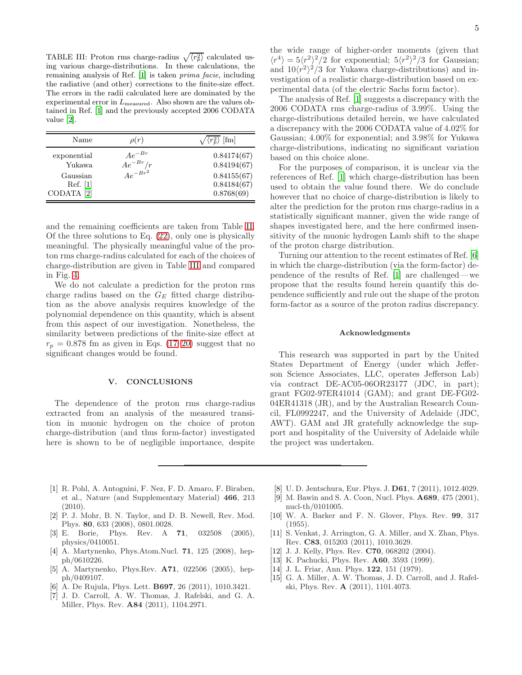<span id="page-4-14"></span>TABLE III: Proton rms charge-radius  $\sqrt{\langle r_p^2 \rangle}$  calculated using various charge-distributions. In these calculations, the remaining analysis of Ref. [\[1\]](#page-4-0) is taken prima facie, including the radiative (and other) corrections to the finite-size effect. The errors in the radii calculated here are dominated by the experimental error in  $L_{\text{measured}}$ . Also shown are the values obtained in Ref. [\[1](#page-4-0)] and the previously accepted 2006 CODATA value [\[2\]](#page-4-1).

| Name                                                                   | $\rho(r)$                                  | $\langle r_n^2 \rangle$ [fm]                                           |
|------------------------------------------------------------------------|--------------------------------------------|------------------------------------------------------------------------|
| exponential<br>Yukawa<br>Gaussian<br>Ref. [1]<br>CODATA <sup>[2]</sup> | $Ae^{-Br}$<br>$Ae^{-Br}/r$<br>$Ae^{-Br^2}$ | 0.84174(67)<br>0.84194(67)<br>0.84155(67)<br>0.84184(67)<br>0.8768(69) |

and the remaining coefficients are taken from Table [II.](#page-3-2) Of the three solutions to Eq. [\(22\)](#page-3-3), only one is physically meaningful. The physically meaningful value of the proton rms charge-radius calculated for each of the choices of charge-distribution are given in Table [III](#page-4-14) and compared in Fig. [4.](#page-5-0)

We do not calculate a prediction for the proton rms charge radius based on the  $G_E$  fitted charge distribution as the above analysis requires knowledge of the polynomial dependence on this quantity, which is absent from this aspect of our investigation. Nonetheless, the similarity between predictions of the finite-size effect at  $r_p = 0.878$  fm as given in Eqs. [\(17–20\)](#page-3-4) suggest that no significant changes would be found.

#### V. CONCLUSIONS

The dependence of the proton rms charge-radius extracted from an analysis of the measured transition in muonic hydrogen on the choice of proton charge-distribution (and thus form-factor) investigated here is shown to be of negligible importance, despite

the wide range of higher-order moments (given that  $\langle r^4 \rangle = 5 \langle r^2 \rangle^2 / 2$  for exponential;  $5 \langle r^2 \rangle^2 / 3$  for Gaussian; and  $10\langle r^2\rangle^2/3$  for Yukawa charge-distributions) and investigation of a realistic charge-distribution based on experimental data (of the electric Sachs form factor).

The analysis of Ref. [\[1\]](#page-4-0) suggests a discrepancy with the 2006 CODATA rms charge-radius of 3.99%. Using the charge-distributions detailed herein, we have calculated a discrepancy with the 2006 CODATA value of 4.02% for Gaussian; 4.00% for exponential; and 3.98% for Yukawa charge-distributions, indicating no significant variation based on this choice alone.

For the purposes of comparison, it is unclear via the references of Ref. [\[1](#page-4-0)] which charge-distribution has been used to obtain the value found there. We do conclude however that no choice of charge-distribution is likely to alter the prediction for the proton rms charge-radius in a statistically significant manner, given the wide range of shapes investigated here, and the here confirmed insensitivity of the muonic hydrogen Lamb shift to the shape of the proton charge distribution.

Turning our attention to the recent estimates of Ref. [\[6](#page-4-4)] in which the charge-distribution (via the form-factor) dependence of the results of Ref. [\[1](#page-4-0)] are challenged—we propose that the results found herein quantify this dependence sufficiently and rule out the shape of the proton form-factor as a source of the proton radius discrepancy.

## Acknowledgments

This research was supported in part by the United States Department of Energy (under which Jefferson Science Associates, LLC, operates Jefferson Lab) via contract DE-AC05-06OR23177 (JDC, in part); grant FG02-97ER41014 (GAM); and grant DE-FG02- 04ER41318 (JR), and by the Australian Research Council, FL0992247, and the University of Adelaide (JDC, AWT). GAM and JR gratefully acknowledge the support and hospitality of the University of Adelaide while the project was undertaken.

- <span id="page-4-0"></span>[1] R. Pohl, A. Antognini, F. Nez, F. D. Amaro, F. Biraben, et al., Nature (and Supplementary Material) 466, 213 (2010).
- <span id="page-4-1"></span>[2] P. J. Mohr, B. N. Taylor, and D. B. Newell, Rev. Mod. Phys. 80, 633 (2008), 0801.0028.
- <span id="page-4-2"></span>[3] E. Borie, Phys. Rev. A 71, 032508 (2005), physics/0410051.
- [4] A. Martynenko, Phys.Atom.Nucl. 71, 125 (2008), hepph/0610226.
- <span id="page-4-3"></span>[5] A. Martynenko, Phys.Rev. A71, 022506 (2005), hepph/0409107.
- <span id="page-4-4"></span>[6] A. De Rujula, Phys. Lett. B697, 26 (2011), 1010.3421.
- <span id="page-4-5"></span>[7] J. D. Carroll, A. W. Thomas, J. Rafelski, and G. A. Miller, Phys. Rev. A84 (2011), 1104.2971.
- <span id="page-4-7"></span>[8] U. D. Jentschura, Eur. Phys. J. D61, 7 (2011), 1012.4029.
- <span id="page-4-8"></span>[9] M. Bawin and S. A. Coon, Nucl. Phys. A689, 475 (2001), nucl-th/0101005.
- <span id="page-4-9"></span>[10] W. A. Barker and F. N. Glover, Phys. Rev. 99, 317 (1955).
- <span id="page-4-6"></span>[11] S. Venkat, J. Arrington, G. A. Miller, and X. Zhan, Phys. Rev. C83, 015203 (2011), 1010.3629.
- <span id="page-4-11"></span>[12] J. J. Kelly, Phys. Rev. **C70**, 068202 (2004).
- <span id="page-4-13"></span>[13] K. Pachucki, Phys. Rev. **A60**, 3593 (1999).
- <span id="page-4-10"></span>[14] J. L. Friar, Ann. Phys. **122**, 151 (1979).
- <span id="page-4-12"></span>[15] G. A. Miller, A. W. Thomas, J. D. Carroll, and J. Rafelski, Phys. Rev. A (2011), 1101.4073.